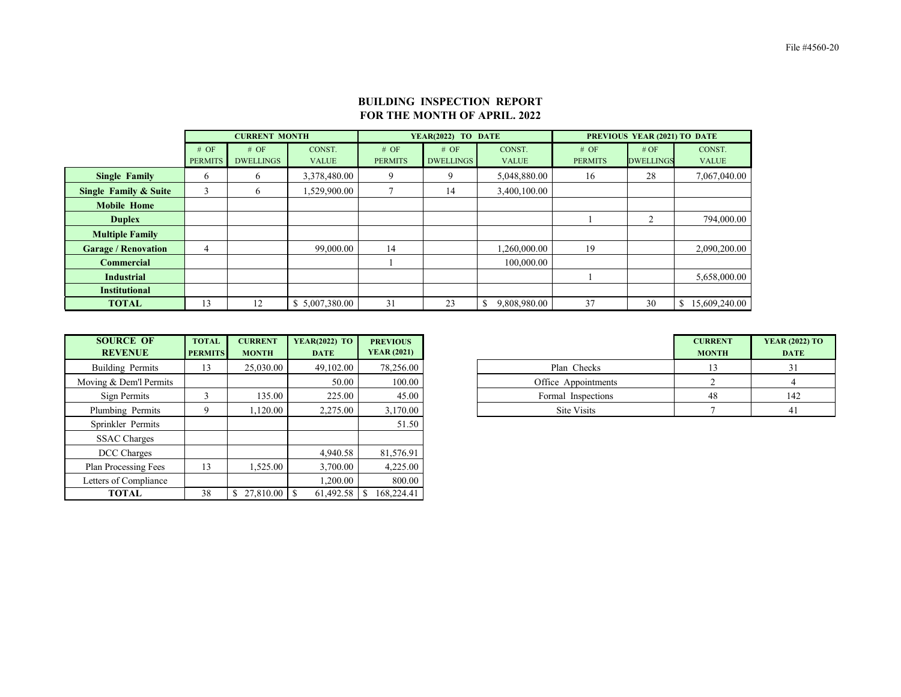File #4560-20

|                                  |                | <b>CURRENT MONTH</b> |                |                | YEAR(2022) TO DATE |              | PREVIOUS YEAR (2021) TO DATE |                  |                     |  |
|----------------------------------|----------------|----------------------|----------------|----------------|--------------------|--------------|------------------------------|------------------|---------------------|--|
|                                  | # OF           | # OF                 | CONST.         | # OF           | # OF               | CONST.       | # OF                         | # OF             | CONST.              |  |
|                                  | <b>PERMITS</b> | <b>DWELLINGS</b>     | <b>VALUE</b>   | <b>PERMITS</b> | <b>DWELLINGS</b>   | <b>VALUE</b> | <b>PERMITS</b>               | <b>DWELLINGS</b> | <b>VALUE</b>        |  |
| <b>Single Family</b>             | 6              | 6                    | 3,378,480.00   | 9              | 9                  | 5,048,880.00 | 16                           | 28               | 7,067,040.00        |  |
| <b>Single Family &amp; Suite</b> | 3              | 6                    | 1,529,900.00   |                | 14                 | 3,400,100.00 |                              |                  |                     |  |
| <b>Mobile Home</b>               |                |                      |                |                |                    |              |                              |                  |                     |  |
| <b>Duplex</b>                    |                |                      |                |                |                    |              |                              | 2                | 794,000.00          |  |
| <b>Multiple Family</b>           |                |                      |                |                |                    |              |                              |                  |                     |  |
| <b>Garage / Renovation</b>       | 4              |                      | 99,000.00      | 14             |                    | 1,260,000.00 | 19                           |                  | 2,090,200.00        |  |
| <b>Commercial</b>                |                |                      |                |                |                    | 100,000.00   |                              |                  |                     |  |
| <b>Industrial</b>                |                |                      |                |                |                    |              |                              |                  | 5,658,000.00        |  |
| <b>Institutional</b>             |                |                      |                |                |                    |              |                              |                  |                     |  |
| <b>TOTAL</b>                     | 13             | 12                   | \$5,007,380.00 | 31             | 23                 | 9,808,980.00 | 37                           | 30               | 15,609,240.00<br>\$ |  |

| <b>SOURCE OF</b><br><b>REVENUE</b> | <b>TOTAL</b><br><b>PERMITS</b> | <b>CURRENT</b><br><b>MONTH</b> | <b>YEAR(2022) TO</b><br><b>DATE</b> | <b>PREVIOUS</b><br><b>YEAR (2021)</b> |
|------------------------------------|--------------------------------|--------------------------------|-------------------------------------|---------------------------------------|
| Building Permits                   |                                | 25,030.00                      | 49,102.00                           | 78,256.00                             |
| ing & Dem'l Permits                |                                |                                | 50.00                               | 100.00                                |
| Sign Permits                       |                                | 135.00                         | 225.00                              | 45.00                                 |
| lumbing Permits                    |                                | ,120.00                        | 2,275.00                            | 3,170.00                              |

| <b>SOURCE OF</b><br><b>REVENUE</b> | <b>TOTAL</b><br><b>PERMITS</b> | <b>CURRENT</b><br><b>MONTH</b> | <b>YEAR(2022) TO</b><br><b>DATE</b> | <b>PREVIOUS</b><br><b>YEAR (2021)</b> |                     | <b>CURRENT</b><br><b>MONTH</b> | <b>YEAR (20)</b><br>DA <sub>1</sub> |
|------------------------------------|--------------------------------|--------------------------------|-------------------------------------|---------------------------------------|---------------------|--------------------------------|-------------------------------------|
| Building Permits                   | 13                             | 25,030.00                      | 49,102.00                           | 78,256.00                             | Plan Checks         | 13                             |                                     |
| Moving & Dem'l Permits             |                                |                                | 50.00                               | 100.00                                | Office Appointments |                                |                                     |
| Sign Permits                       |                                | 135.00                         | 225.00                              | 45.00                                 | Formal Inspections  | 48                             |                                     |
| Plumbing Permits                   | 9                              | 1,120.00                       | 2,275.00                            | 3,170.00                              | Site Visits         |                                |                                     |
| Sprinkler Permits                  |                                |                                |                                     | 51.50                                 |                     |                                |                                     |
| <b>SSAC Charges</b>                |                                |                                |                                     |                                       |                     |                                |                                     |
| DCC Charges                        |                                |                                | 4,940.58                            | 81,576.91                             |                     |                                |                                     |
| <b>Plan Processing Fees</b>        | 13                             | 1,525.00                       | 3,700.00                            | 4,225.00                              |                     |                                |                                     |
| Letters of Compliance              |                                |                                | ,200.00                             | 800.00                                |                     |                                |                                     |
| <b>TOTAL</b>                       | 38                             |                                | 61,492.58                           | 168,224.41                            |                     |                                |                                     |

## **BUILDING INSPECTION REPORT FOR THE MONTH OF APRIL. 2022**